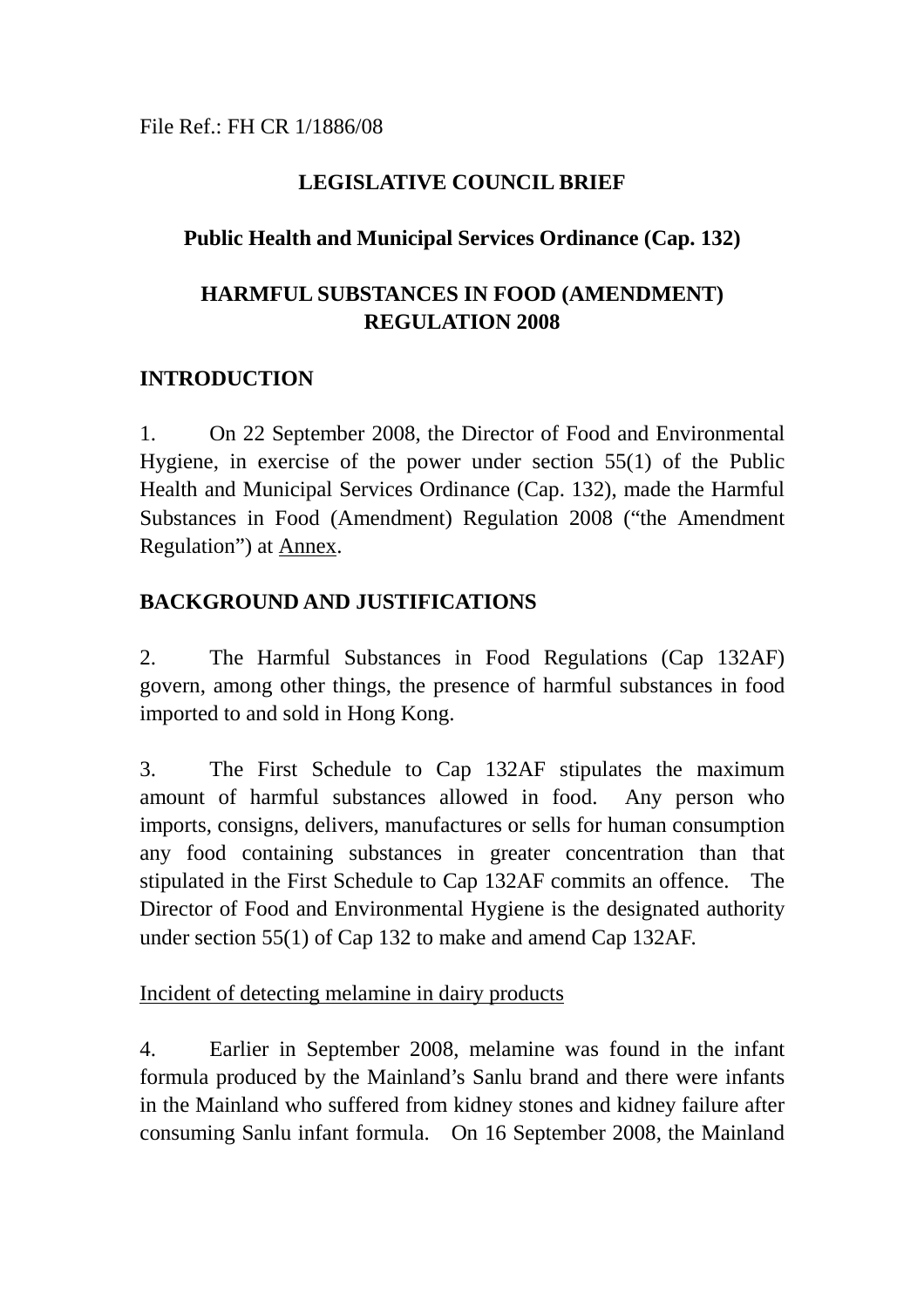File Ref.: FH CR 1/1886/08

## **LEGISLATIVE COUNCIL BRIEF**

## **Public Health and Municipal Services Ordinance (Cap. 132)**

# **HARMFUL SUBSTANCES IN FOOD (AMENDMENT) REGULATION 2008**

# **INTRODUCTION**

1. On 22 September 2008, the Director of Food and Environmental Hygiene, in exercise of the power under section 55(1) of the Public Health and Municipal Services Ordinance (Cap. 132), made the Harmful Substances in Food (Amendment) Regulation 2008 ("the Amendment Regulation") at Annex.

# **BACKGROUND AND JUSTIFICATIONS**

2. The Harmful Substances in Food Regulations (Cap 132AF) govern, among other things, the presence of harmful substances in food imported to and sold in Hong Kong.

3. The First Schedule to Cap 132AF stipulates the maximum amount of harmful substances allowed in food. Any person who imports, consigns, delivers, manufactures or sells for human consumption any food containing substances in greater concentration than that stipulated in the First Schedule to Cap 132AF commits an offence. The Director of Food and Environmental Hygiene is the designated authority under section 55(1) of Cap 132 to make and amend Cap 132AF.

## Incident of detecting melamine in dairy products

4. Earlier in September 2008, melamine was found in the infant formula produced by the Mainland's Sanlu brand and there were infants in the Mainland who suffered from kidney stones and kidney failure after consuming Sanlu infant formula. On 16 September 2008, the Mainland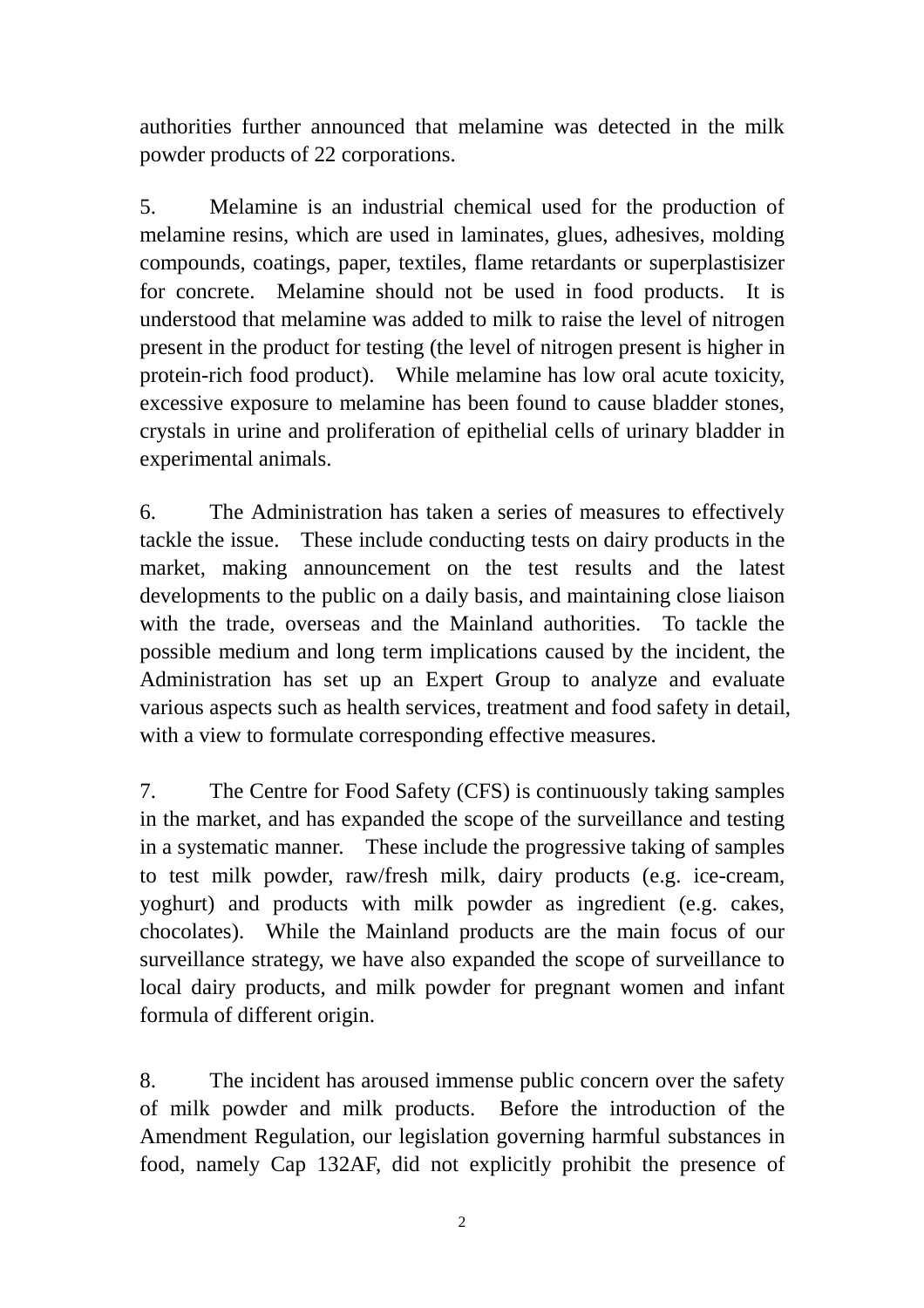authorities further announced that melamine was detected in the milk powder products of 22 corporations.

5. Melamine is an industrial chemical used for the production of melamine resins, which are used in laminates, glues, adhesives, molding compounds, coatings, paper, textiles, flame retardants or superplastisizer for concrete. Melamine should not be used in food products. It is understood that melamine was added to milk to raise the level of nitrogen present in the product for testing (the level of nitrogen present is higher in protein-rich food product). While melamine has low oral acute toxicity, excessive exposure to melamine has been found to cause bladder stones, crystals in urine and proliferation of epithelial cells of urinary bladder in experimental animals.

6. The Administration has taken a series of measures to effectively tackle the issue. These include conducting tests on dairy products in the market, making announcement on the test results and the latest developments to the public on a daily basis, and maintaining close liaison with the trade, overseas and the Mainland authorities. To tackle the possible medium and long term implications caused by the incident, the Administration has set up an Expert Group to analyze and evaluate various aspects such as health services, treatment and food safety in detail, with a view to formulate corresponding effective measures.

7. The Centre for Food Safety (CFS) is continuously taking samples in the market, and has expanded the scope of the surveillance and testing in a systematic manner. These include the progressive taking of samples to test milk powder, raw/fresh milk, dairy products (e.g. ice-cream, yoghurt) and products with milk powder as ingredient (e.g. cakes, chocolates). While the Mainland products are the main focus of our surveillance strategy, we have also expanded the scope of surveillance to local dairy products, and milk powder for pregnant women and infant formula of different origin.

8. The incident has aroused immense public concern over the safety of milk powder and milk products. Before the introduction of the Amendment Regulation, our legislation governing harmful substances in food, namely Cap 132AF, did not explicitly prohibit the presence of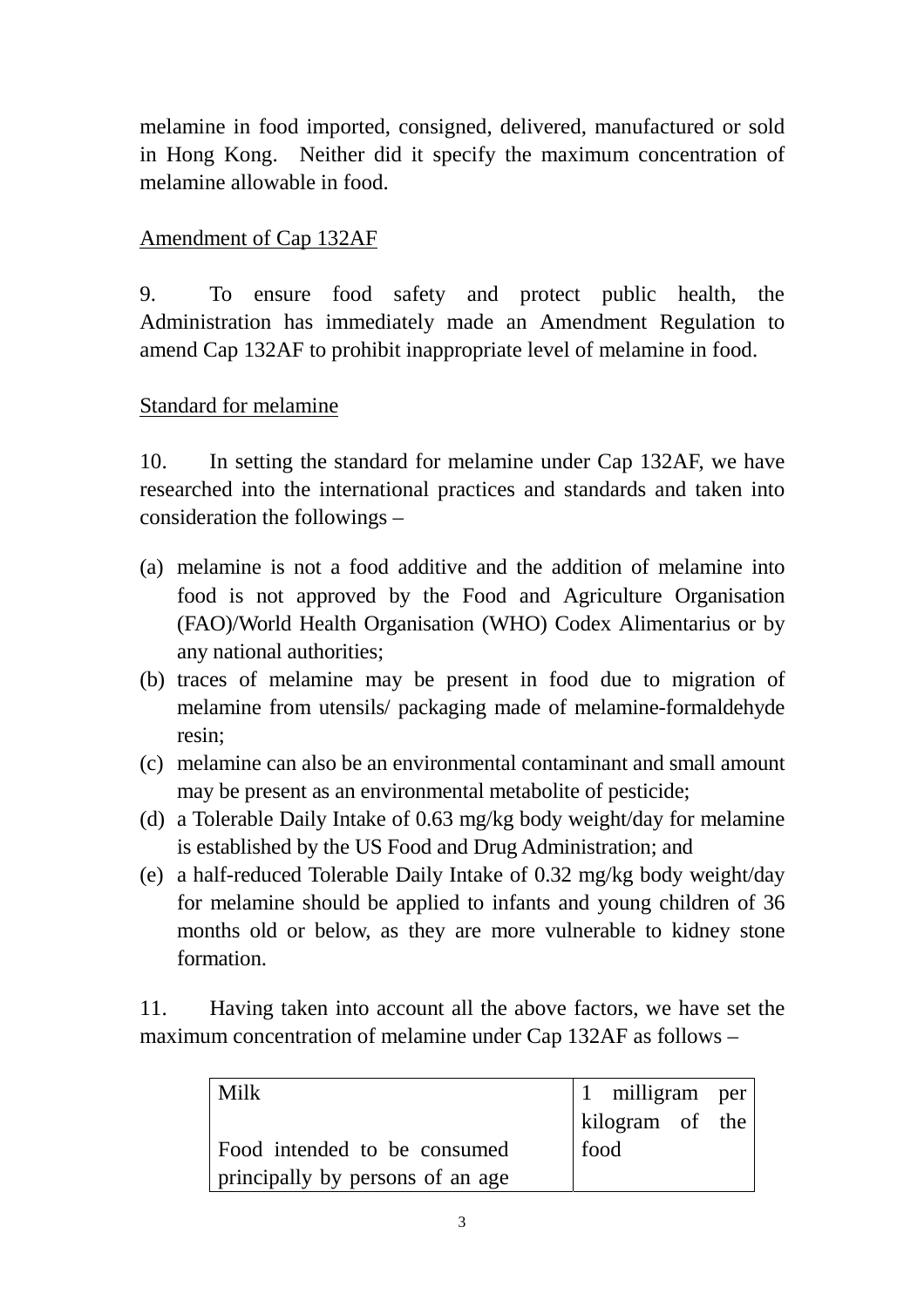melamine in food imported, consigned, delivered, manufactured or sold in Hong Kong. Neither did it specify the maximum concentration of melamine allowable in food.

#### Amendment of Cap 132AF

9. To ensure food safety and protect public health, the Administration has immediately made an Amendment Regulation to amend Cap 132AF to prohibit inappropriate level of melamine in food.

#### Standard for melamine

10. In setting the standard for melamine under Cap 132AF, we have researched into the international practices and standards and taken into consideration the followings –

- (a) melamine is not a food additive and the addition of melamine into food is not approved by the Food and Agriculture Organisation (FAO)/World Health Organisation (WHO) Codex Alimentarius or by any national authorities;
- (b) traces of melamine may be present in food due to migration of melamine from utensils/ packaging made of melamine-formaldehyde resin;
- (c) melamine can also be an environmental contaminant and small amount may be present as an environmental metabolite of pesticide;
- (d) a Tolerable Daily Intake of 0.63 mg/kg body weight/day for melamine is established by the US Food and Drug Administration; and
- (e) a half-reduced Tolerable Daily Intake of 0.32 mg/kg body weight/day for melamine should be applied to infants and young children of 36 months old or below, as they are more vulnerable to kidney stone formation.

11. Having taken into account all the above factors, we have set the maximum concentration of melamine under Cap 132AF as follows –

| <b>Milk</b>                      | $\begin{vmatrix} 1 \\ \end{vmatrix}$ milligram per |  |
|----------------------------------|----------------------------------------------------|--|
|                                  | kilogram of the $ $                                |  |
| Food intended to be consumed     | food                                               |  |
| principally by persons of an age |                                                    |  |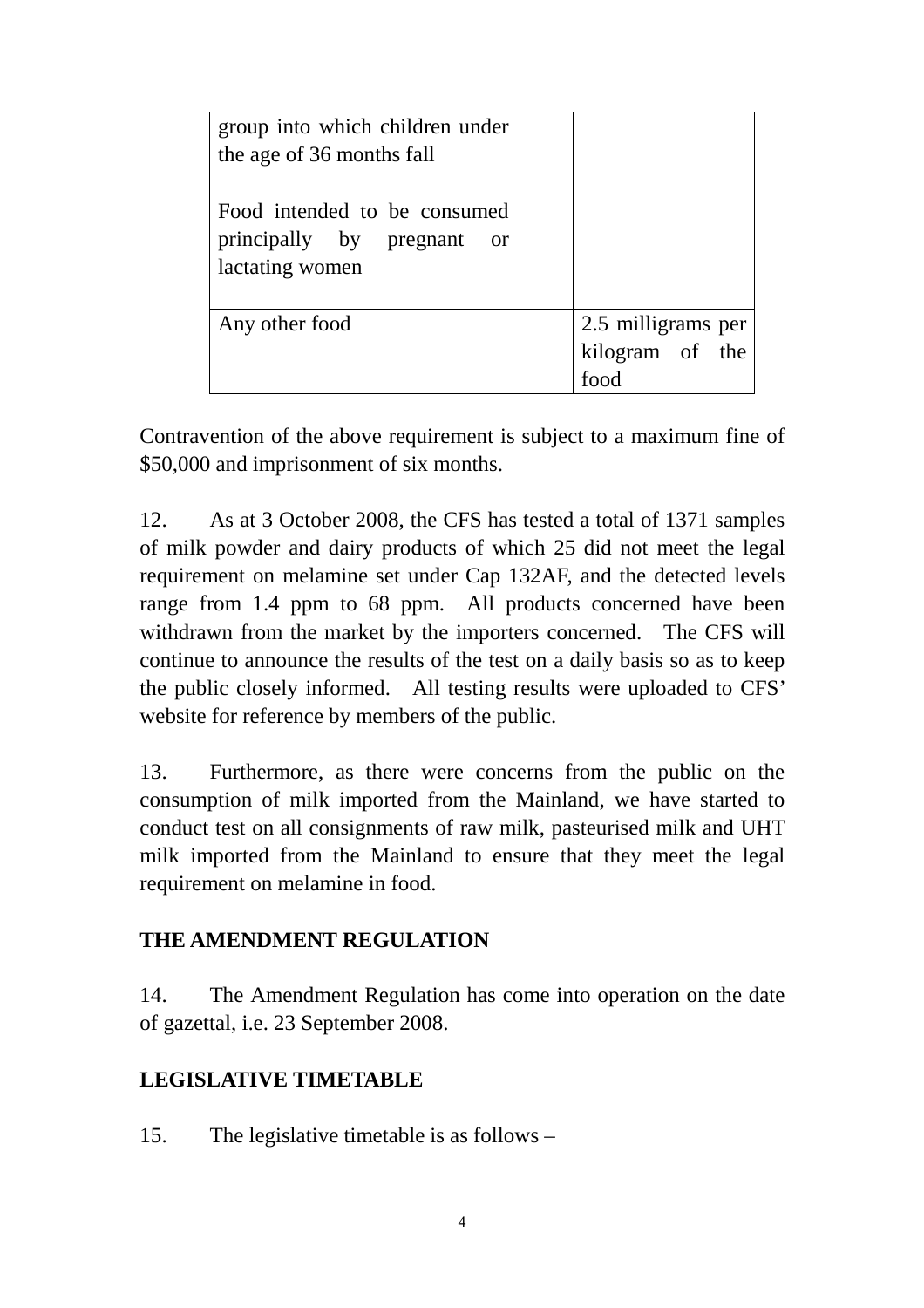| group into which children under<br>the age of 36 months fall                  |                         |  |
|-------------------------------------------------------------------------------|-------------------------|--|
| Food intended to be consumed<br>principally by pregnant or<br>lactating women |                         |  |
| Any other food                                                                | 2.5 milligrams per      |  |
|                                                                               | kilogram of the<br>food |  |

Contravention of the above requirement is subject to a maximum fine of \$50,000 and imprisonment of six months.

12. As at 3 October 2008, the CFS has tested a total of 1371 samples of milk powder and dairy products of which 25 did not meet the legal requirement on melamine set under Cap 132AF, and the detected levels range from 1.4 ppm to 68 ppm. All products concerned have been withdrawn from the market by the importers concerned. The CFS will continue to announce the results of the test on a daily basis so as to keep the public closely informed. All testing results were uploaded to CFS' website for reference by members of the public.

13. Furthermore, as there were concerns from the public on the consumption of milk imported from the Mainland, we have started to conduct test on all consignments of raw milk, pasteurised milk and UHT milk imported from the Mainland to ensure that they meet the legal requirement on melamine in food.

## **THE AMENDMENT REGULATION**

14. The Amendment Regulation has come into operation on the date of gazettal, i.e. 23 September 2008.

## **LEGISLATIVE TIMETABLE**

15. The legislative timetable is as follows –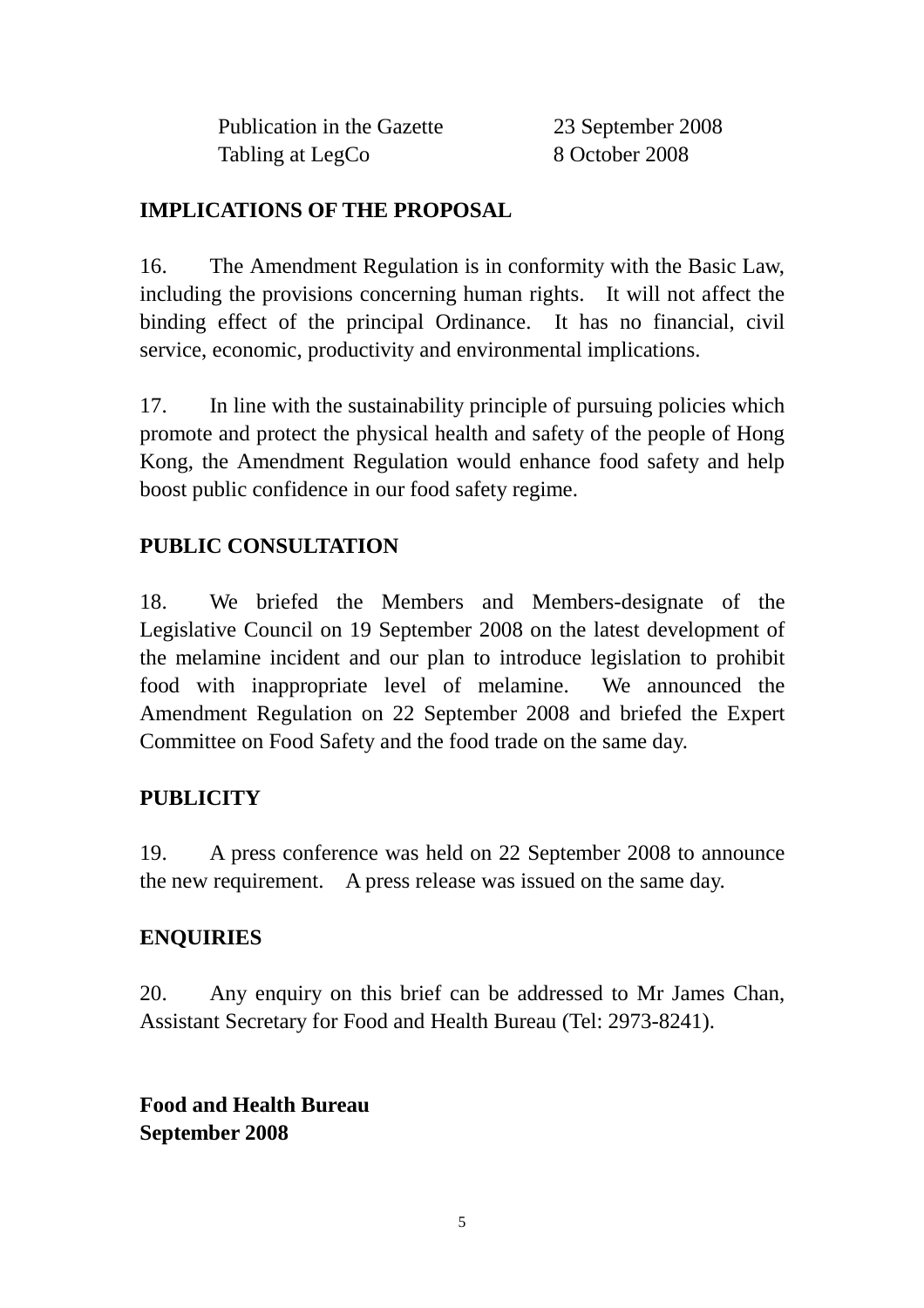Publication in the Gazette 23 September 2008 Tabling at LegCo 8 October 2008

# **IMPLICATIONS OF THE PROPOSAL**

16. The Amendment Regulation is in conformity with the Basic Law, including the provisions concerning human rights. It will not affect the binding effect of the principal Ordinance. It has no financial, civil service, economic, productivity and environmental implications.

17. In line with the sustainability principle of pursuing policies which promote and protect the physical health and safety of the people of Hong Kong, the Amendment Regulation would enhance food safety and help boost public confidence in our food safety regime.

# **PUBLIC CONSULTATION**

18. We briefed the Members and Members-designate of the Legislative Council on 19 September 2008 on the latest development of the melamine incident and our plan to introduce legislation to prohibit food with inappropriate level of melamine. We announced the Amendment Regulation on 22 September 2008 and briefed the Expert Committee on Food Safety and the food trade on the same day.

#### **PUBLICITY**

19. A press conference was held on 22 September 2008 to announce the new requirement. A press release was issued on the same day.

#### **ENQUIRIES**

20. Any enquiry on this brief can be addressed to Mr James Chan, Assistant Secretary for Food and Health Bureau (Tel: 2973-8241).

**Food and Health Bureau September 2008**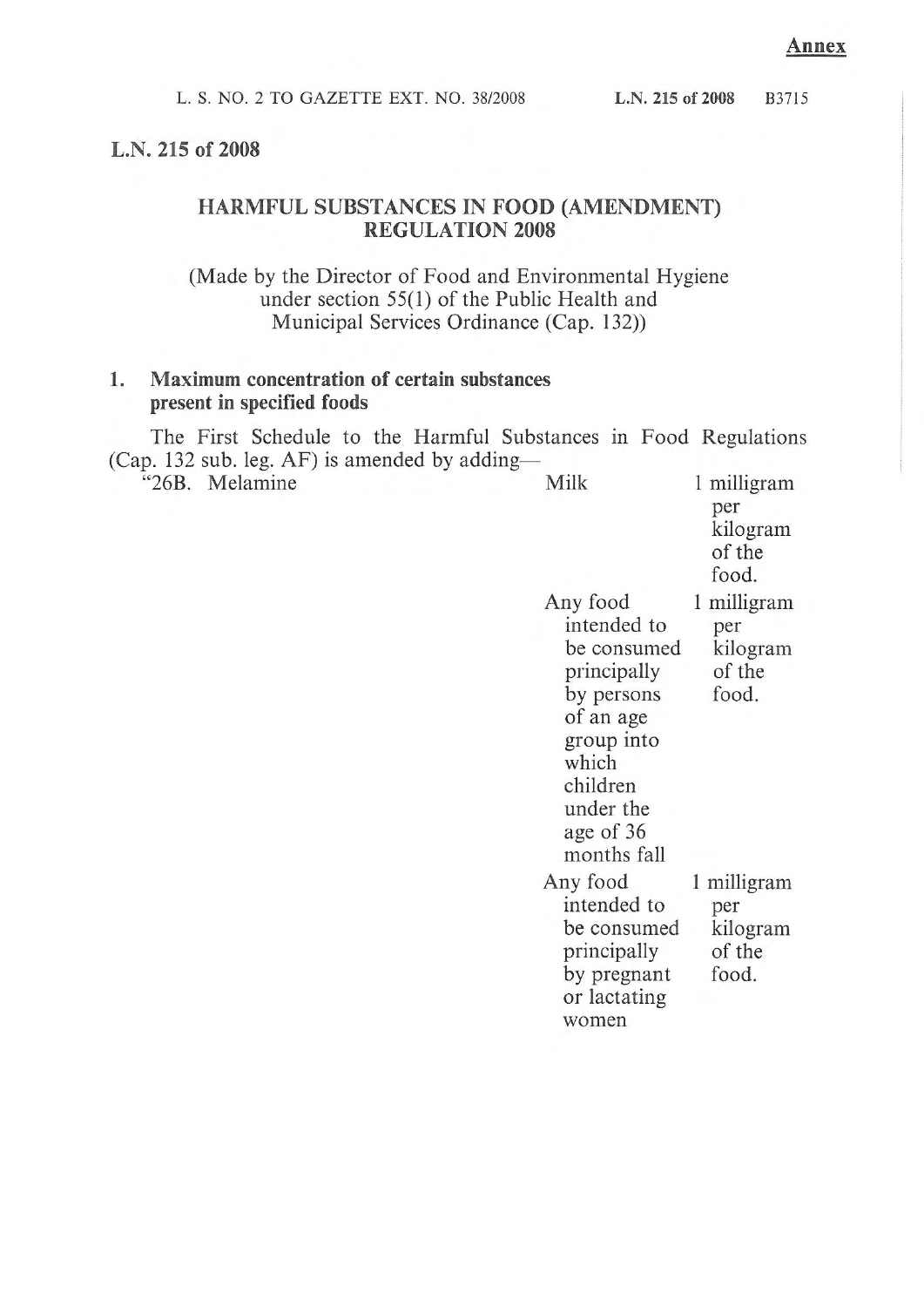#### L.N. 215 of 2008

#### HARMFUL SUBSTANCES IN FOOD (AMENDMENT) **REGULATION 2008**

(Made by the Director of Food and Environmental Hygiene) under section 55(1) of the Public Health and Municipal Services Ordinance (Cap. 132))

#### 1. Maximum concentration of certain substances present in specified foods

The First Schedule to the Harmful Substances in Food Regulations (Cap. 132 sub. leg. AF) is amended by adding—

| $\alpha$<br>$max_{1}$<br>"26B. Melamine | Milk                                                                                                                                                         | 1 milligram<br>per<br>kilogram<br>of the<br>food. |
|-----------------------------------------|--------------------------------------------------------------------------------------------------------------------------------------------------------------|---------------------------------------------------|
|                                         | Any food<br>intended to<br>be consumed<br>principally<br>by persons<br>of an age<br>group into<br>which<br>children<br>under the<br>age of 36<br>months fall | 1 milligram<br>per<br>kilogram<br>of the<br>food. |
|                                         | Any food<br>intended to<br>be consumed<br>principally<br>by pregnant<br>or lactating<br>women                                                                | 1 milligram<br>per<br>kilogram<br>of the<br>food. |